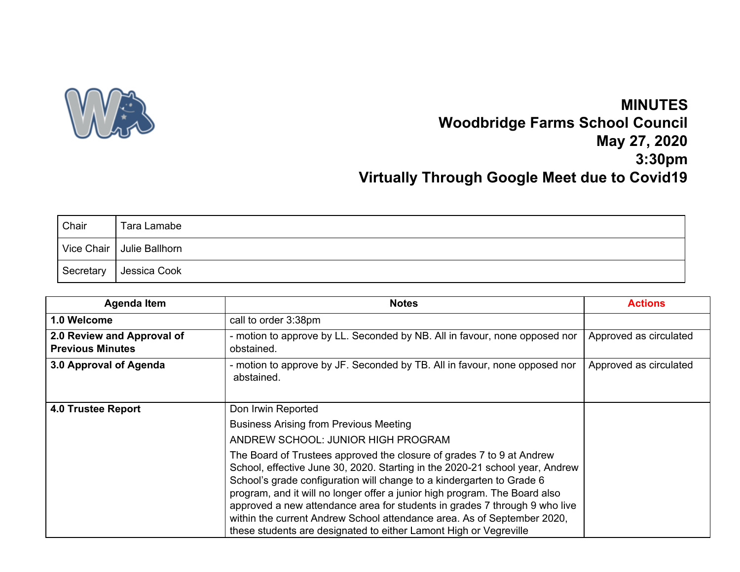

## **MINUTES Woodbridge Farms School Council May 27, 2020 3:30pm Virtually Through Google Meet due to Covid19**

| Chair     | Tara Lamabe                 |
|-----------|-----------------------------|
|           | Vice Chair   Julie Ballhorn |
| Secretary | Jessica Cook                |

| <b>Agenda Item</b>                                    | <b>Notes</b>                                                                                                                                                                                                                                                                                                                                                                                                                                                                                                                                                                                                                                            | <b>Actions</b>         |
|-------------------------------------------------------|---------------------------------------------------------------------------------------------------------------------------------------------------------------------------------------------------------------------------------------------------------------------------------------------------------------------------------------------------------------------------------------------------------------------------------------------------------------------------------------------------------------------------------------------------------------------------------------------------------------------------------------------------------|------------------------|
| 1.0 Welcome                                           | call to order 3:38pm                                                                                                                                                                                                                                                                                                                                                                                                                                                                                                                                                                                                                                    |                        |
| 2.0 Review and Approval of<br><b>Previous Minutes</b> | - motion to approve by LL. Seconded by NB. All in favour, none opposed nor<br>obstained.                                                                                                                                                                                                                                                                                                                                                                                                                                                                                                                                                                | Approved as circulated |
| 3.0 Approval of Agenda                                | - motion to approve by JF. Seconded by TB. All in favour, none opposed nor<br>abstained.                                                                                                                                                                                                                                                                                                                                                                                                                                                                                                                                                                | Approved as circulated |
| <b>4.0 Trustee Report</b>                             | Don Irwin Reported<br><b>Business Arising from Previous Meeting</b><br>ANDREW SCHOOL: JUNIOR HIGH PROGRAM<br>The Board of Trustees approved the closure of grades 7 to 9 at Andrew<br>School, effective June 30, 2020. Starting in the 2020-21 school year, Andrew<br>School's grade configuration will change to a kindergarten to Grade 6<br>program, and it will no longer offer a junior high program. The Board also<br>approved a new attendance area for students in grades 7 through 9 who live<br>within the current Andrew School attendance area. As of September 2020,<br>these students are designated to either Lamont High or Vegreville |                        |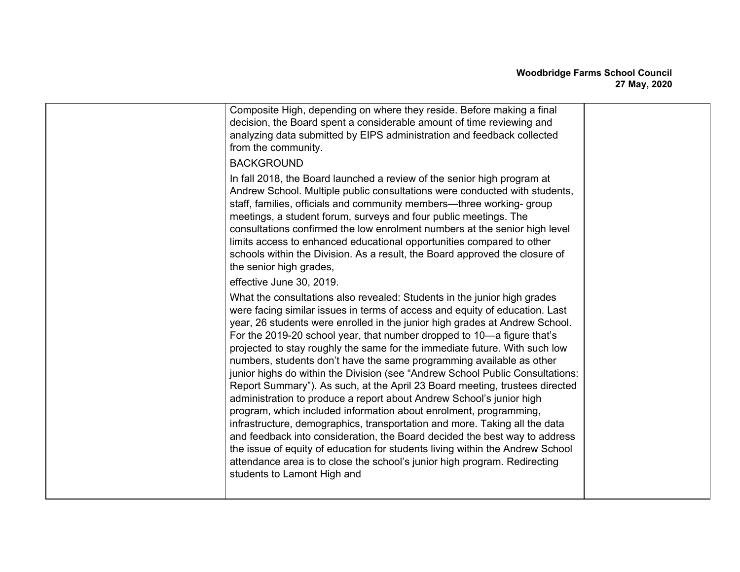| Composite High, depending on where they reside. Before making a final<br>decision, the Board spent a considerable amount of time reviewing and<br>analyzing data submitted by EIPS administration and feedback collected<br>from the community.<br><b>BACKGROUND</b>                                                                                                                                                                                                                                                                                                                                                                                                                                                                                                                                                                                                                                                                                                                                                                                                                                                                         |  |
|----------------------------------------------------------------------------------------------------------------------------------------------------------------------------------------------------------------------------------------------------------------------------------------------------------------------------------------------------------------------------------------------------------------------------------------------------------------------------------------------------------------------------------------------------------------------------------------------------------------------------------------------------------------------------------------------------------------------------------------------------------------------------------------------------------------------------------------------------------------------------------------------------------------------------------------------------------------------------------------------------------------------------------------------------------------------------------------------------------------------------------------------|--|
| In fall 2018, the Board launched a review of the senior high program at<br>Andrew School. Multiple public consultations were conducted with students,<br>staff, families, officials and community members—three working-group<br>meetings, a student forum, surveys and four public meetings. The<br>consultations confirmed the low enrolment numbers at the senior high level<br>limits access to enhanced educational opportunities compared to other<br>schools within the Division. As a result, the Board approved the closure of<br>the senior high grades,                                                                                                                                                                                                                                                                                                                                                                                                                                                                                                                                                                           |  |
| effective June 30, 2019.                                                                                                                                                                                                                                                                                                                                                                                                                                                                                                                                                                                                                                                                                                                                                                                                                                                                                                                                                                                                                                                                                                                     |  |
| What the consultations also revealed: Students in the junior high grades<br>were facing similar issues in terms of access and equity of education. Last<br>year, 26 students were enrolled in the junior high grades at Andrew School.<br>For the 2019-20 school year, that number dropped to 10-a figure that's<br>projected to stay roughly the same for the immediate future. With such low<br>numbers, students don't have the same programming available as other<br>junior highs do within the Division (see "Andrew School Public Consultations:<br>Report Summary"). As such, at the April 23 Board meeting, trustees directed<br>administration to produce a report about Andrew School's junior high<br>program, which included information about enrolment, programming,<br>infrastructure, demographics, transportation and more. Taking all the data<br>and feedback into consideration, the Board decided the best way to address<br>the issue of equity of education for students living within the Andrew School<br>attendance area is to close the school's junior high program. Redirecting<br>students to Lamont High and |  |
|                                                                                                                                                                                                                                                                                                                                                                                                                                                                                                                                                                                                                                                                                                                                                                                                                                                                                                                                                                                                                                                                                                                                              |  |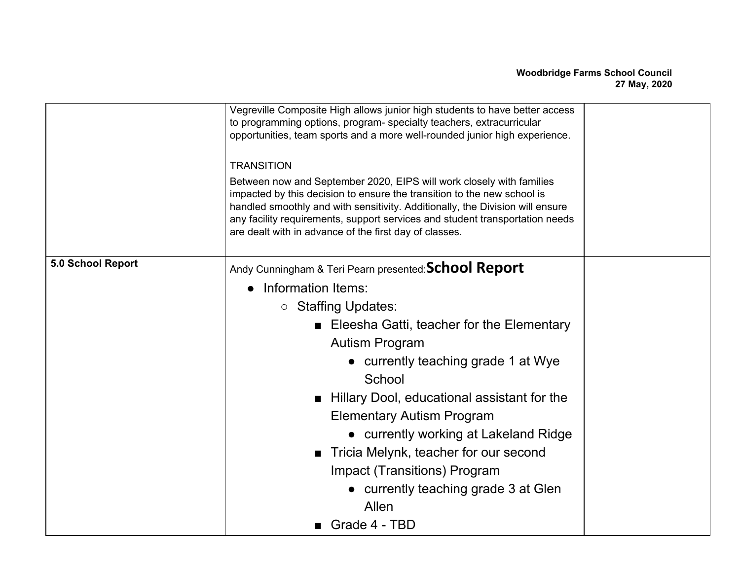|                   | Vegreville Composite High allows junior high students to have better access<br>to programming options, program- specialty teachers, extracurricular<br>opportunities, team sports and a more well-rounded junior high experience.                                                                                                                                          |  |
|-------------------|----------------------------------------------------------------------------------------------------------------------------------------------------------------------------------------------------------------------------------------------------------------------------------------------------------------------------------------------------------------------------|--|
|                   | <b>TRANSITION</b>                                                                                                                                                                                                                                                                                                                                                          |  |
|                   | Between now and September 2020, EIPS will work closely with families<br>impacted by this decision to ensure the transition to the new school is<br>handled smoothly and with sensitivity. Additionally, the Division will ensure<br>any facility requirements, support services and student transportation needs<br>are dealt with in advance of the first day of classes. |  |
| 5.0 School Report | Andy Cunningham & Teri Pearn presented: School Report                                                                                                                                                                                                                                                                                                                      |  |
|                   | • Information Items:                                                                                                                                                                                                                                                                                                                                                       |  |
|                   | ○ Staffing Updates:                                                                                                                                                                                                                                                                                                                                                        |  |
|                   | ■ Eleesha Gatti, teacher for the Elementary                                                                                                                                                                                                                                                                                                                                |  |
|                   | <b>Autism Program</b>                                                                                                                                                                                                                                                                                                                                                      |  |
|                   | • currently teaching grade 1 at Wye                                                                                                                                                                                                                                                                                                                                        |  |
|                   | School                                                                                                                                                                                                                                                                                                                                                                     |  |
|                   | Hillary Dool, educational assistant for the                                                                                                                                                                                                                                                                                                                                |  |
|                   | <b>Elementary Autism Program</b>                                                                                                                                                                                                                                                                                                                                           |  |
|                   | • currently working at Lakeland Ridge                                                                                                                                                                                                                                                                                                                                      |  |
|                   | ■ Tricia Melynk, teacher for our second                                                                                                                                                                                                                                                                                                                                    |  |
|                   | Impact (Transitions) Program                                                                                                                                                                                                                                                                                                                                               |  |
|                   | • currently teaching grade 3 at Glen                                                                                                                                                                                                                                                                                                                                       |  |
|                   | Allen                                                                                                                                                                                                                                                                                                                                                                      |  |
|                   | Grade 4 - TBD                                                                                                                                                                                                                                                                                                                                                              |  |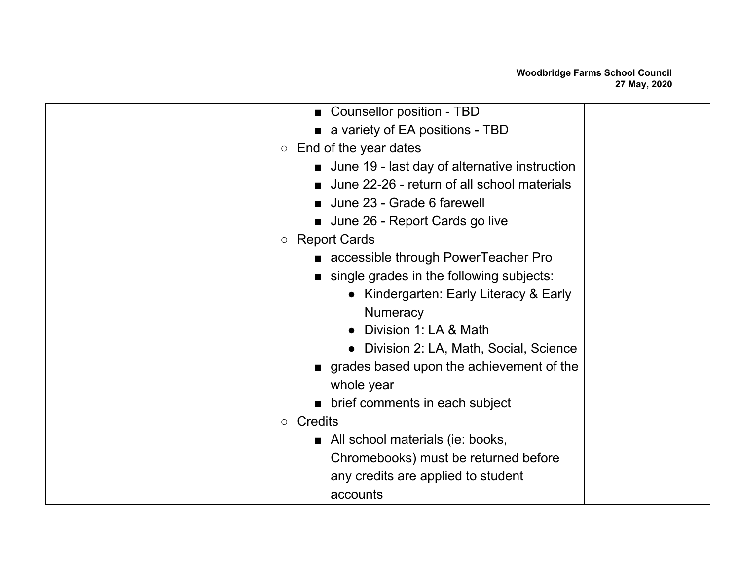| ■ Counsellor position - TBD                     |  |
|-------------------------------------------------|--|
| a variety of EA positions - TBD                 |  |
| $\circ$ End of the year dates                   |  |
| ■ June 19 - last day of alternative instruction |  |
| ■ June 22-26 - return of all school materials   |  |
| ■ June 23 - Grade 6 farewell                    |  |
| ■ June 26 - Report Cards go live                |  |
| ○ Report Cards                                  |  |
| accessible through PowerTeacher Pro             |  |
| single grades in the following subjects:        |  |
| • Kindergarten: Early Literacy & Early          |  |
| <b>Numeracy</b>                                 |  |
| Division 1: LA & Math                           |  |
| Division 2: LA, Math, Social, Science           |  |
| grades based upon the achievement of the        |  |
| whole year                                      |  |
| brief comments in each subject                  |  |
| $\circ$ Credits                                 |  |
| All school materials (ie: books,                |  |
| Chromebooks) must be returned before            |  |
| any credits are applied to student              |  |
| accounts                                        |  |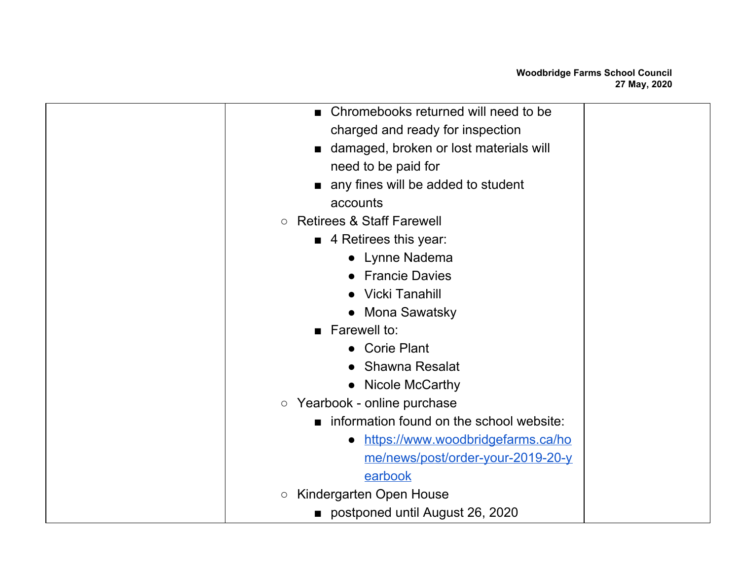| ■ Chromebooks returned will need to be          |  |
|-------------------------------------------------|--|
| charged and ready for inspection                |  |
| ■ damaged, broken or lost materials will        |  |
| need to be paid for                             |  |
| any fines will be added to student              |  |
| accounts                                        |  |
| <b>Retirees &amp; Staff Farewell</b><br>$\circ$ |  |
| $\blacksquare$ 4 Retirees this year:            |  |
| • Lynne Nadema                                  |  |
| • Francie Davies                                |  |
| • Vicki Tanahill                                |  |
| • Mona Sawatsky                                 |  |
| $\blacksquare$ Farewell to:                     |  |
| • Corie Plant                                   |  |
| • Shawna Resalat                                |  |
| • Nicole McCarthy                               |  |
| ○ Yearbook - online purchase                    |  |
| information found on the school website:        |  |
| https://www.woodbridgefarms.ca/ho<br>$\bullet$  |  |
| me/news/post/order-your-2019-20-y               |  |
| earbook                                         |  |
| Kindergarten Open House<br>$\bigcirc$           |  |
| ■ postponed until August 26, 2020               |  |
|                                                 |  |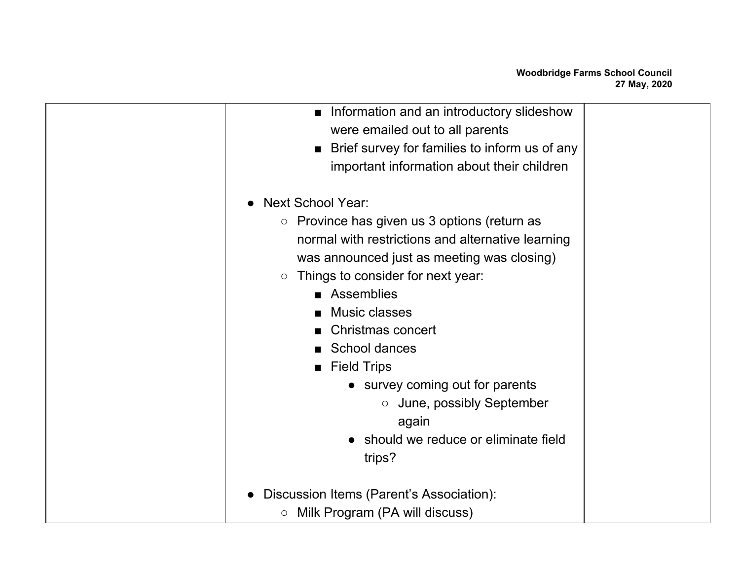| Information and an introductory slideshow<br>$\blacksquare$<br>were emailed out to all parents                                                                                                                                                                                                           |  |
|----------------------------------------------------------------------------------------------------------------------------------------------------------------------------------------------------------------------------------------------------------------------------------------------------------|--|
| ■ Brief survey for families to inform us of any                                                                                                                                                                                                                                                          |  |
| important information about their children                                                                                                                                                                                                                                                               |  |
| <b>Next School Year:</b>                                                                                                                                                                                                                                                                                 |  |
| Province has given us 3 options (return as<br>$\circ$<br>normal with restrictions and alternative learning<br>was announced just as meeting was closing)<br>Things to consider for next year:<br>$\bigcirc$<br>Assemblies<br><b>Music classes</b><br>Christmas concert<br>School dances<br>■ Field Trips |  |
| • survey coming out for parents<br>$\circ$ June, possibly September<br>again<br>should we reduce or eliminate field<br>trips?                                                                                                                                                                            |  |
| Discussion Items (Parent's Association):<br>Milk Program (PA will discuss)<br>$\bigcirc$                                                                                                                                                                                                                 |  |